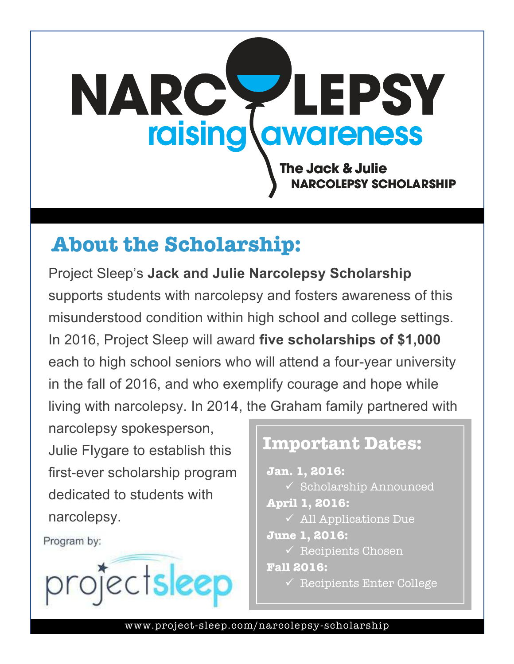# **The Jack & Julie OLEPSY SCHOLARSHIP NARC LEPSY** raising awareness

# **About the Scholarship:**

Project Sleep's **Jack and Julie Narcolepsy Scholarship** supports students with narcolepsy and fosters awareness of this misunderstood condition within high school and college settings. In 2016, Project Sleep will award **five scholarships of \$1,000** each to high school seniors who will attend a four-year university in the fall of 2016, and who exemplify courage and hope while living with narcolepsy. In 2014, the Graham family partnered with

narcolepsy spokesperson, Julie Flygare to establish this first-ever scholarship program dedicated to students with narcolepsy.

Program by:



### **Important Dates:**

**Jan. 1, 2016:**   $\checkmark$  Scholarship Announced **April 1, 2016:**   $\checkmark$  All Applications Due **June 1, 2016:**   $\sqrt{\ }$  Recipients Chosen **Fall 2016:**   $\checkmark$  Recipients Enter College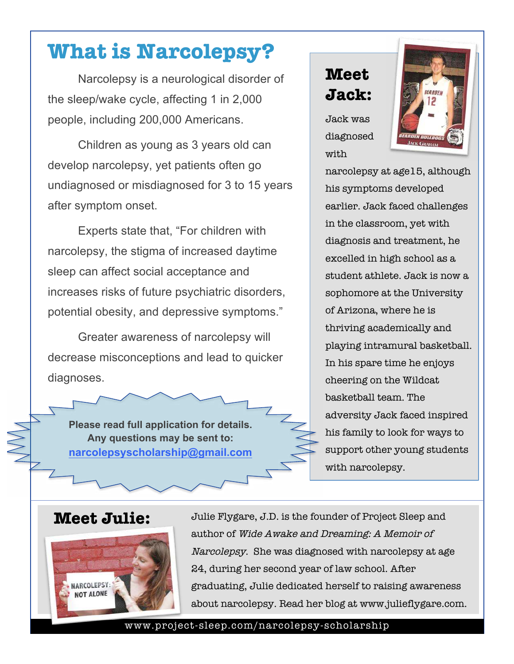## **What is Narcolepsy?**

Narcolepsy is a neurological disorder of the sleep/wake cycle, affecting 1 in 2,000 people, including 200,000 Americans.

Children as young as 3 years old can develop narcolepsy, yet patients often go undiagnosed or misdiagnosed for 3 to 15 years after symptom onset.

Experts state that, "For children with narcolepsy, the stigma of increased daytime sleep can affect social acceptance and increases risks of future psychiatric disorders, potential obesity, and depressive symptoms."

Greater awareness of narcolepsy will decrease misconceptions and lead to quicker diagnoses.

**Please read full application for details. Any questions may be sent to: narcolepsyscholarship@gmail.com**

## **Meet Jack:**

Jack was diagnosed with



narcolepsy at age15, although his symptoms developed earlier. Jack faced challenges in the classroom, yet with diagnosis and treatment, he excelled in high school as a student athlete. Jack is now a sophomore at the University of Arizona, where he is thriving academically and playing intramural basketball. In his spare time he enjoys cheering on the Wildcat basketball team. The adversity Jack faced inspired his family to look for ways to support other young students with narcolepsy.

### **Meet Julie:**



Julie Flygare, J.D. is the founder of Project Sleep and author of Wide Awake and Dreaming: A Memoir of Narcolepsy. She was diagnosed with narcolepsy at age 24, during her second year of law school. After graduating, Julie dedicated herself to raising awareness about narcolepsy. Read her blog at www.julieflygare.com.

#### www.project-sleep.com/narcolepsy-scholarship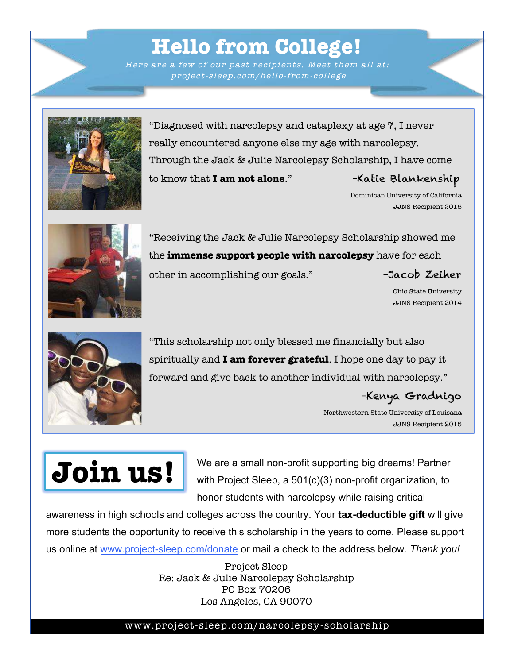## **Hello from College!**

Here are a few of our past recipients. Meet them all at: project -sleep.com/hello-from-college

"Diagnosed with narcolepsy and cataplexy at age 7, I never really encountered anyone else my age with narcolepsy. Through the Jack & Julie Narcolepsy Scholarship, I have come to know that **I am not alone**." –Katie Blankenship

> Dominican University of California JJNS Recipient 2015



"Receiving the Jack & Julie Narcolepsy Scholarship showed me the **immense support people with narcolepsy** have for each other in accomplishing our goals." –Jacob Zeiher

Ohio State University JJNS Recipient 2014



"This scholarship not only blessed me financially but also spiritually and **I am forever grateful**. I hope one day to pay it forward and give back to another individual with narcolepsy."

–Kenya Gradnigo

Northwestern State University of Louisana JJNS Recipient 2015

# **Join us!**

We are a small non-profit supporting big dreams! Partner with Project Sleep, a 501(c)(3) non-profit organization, to honor students with narcolepsy while raising critical

awareness in high schools and colleges across the country. Your **tax-deductible gift** will give more students the opportunity to receive this scholarship in the years to come. Please support us online at www.project-sleep.com/donate or mail a check to the address below. *Thank you!*

> Project Sleep Re: Jack & Julie Narcolepsy Scholarship PO Box 70206 Los Angeles, CA 90070

### www.project-sleep.com/narcolepsy-scholarship

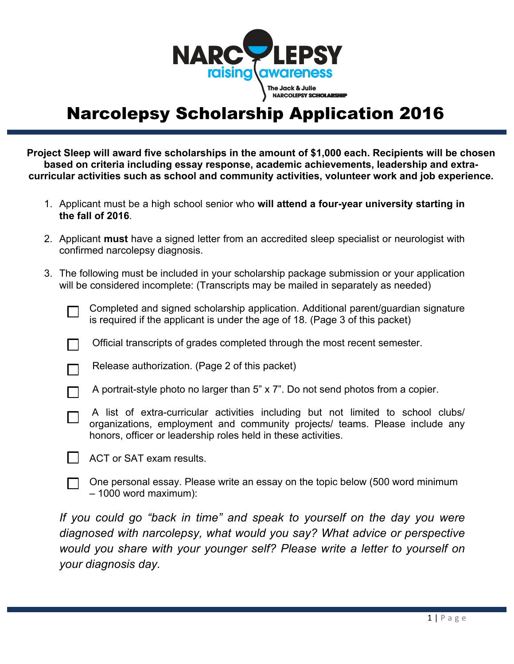

## Narcolepsy Scholarship Application 2016

**Project Sleep will award five scholarships in the amount of \$1,000 each. Recipients will be chosen based on criteria including essay response, academic achievements, leadership and extracurricular activities such as school and community activities, volunteer work and job experience.** 

- 1. Applicant must be a high school senior who **will attend a four-year university starting in the fall of 2016**.
- 2. Applicant **must** have a signed letter from an accredited sleep specialist or neurologist with confirmed narcolepsy diagnosis.
- 3. The following must be included in your scholarship package submission or your application will be considered incomplete: (Transcripts may be mailed in separately as needed)

Completed and signed scholarship application. Additional parent/guardian signature is required if the applicant is under the age of 18. (Page 3 of this packet)

Official transcripts of grades completed through the most recent semester.

Release authorization. (Page 2 of this packet)

- A portrait-style photo no larger than 5" x 7". Do not send photos from a copier.
- A list of extra-curricular activities including but not limited to school clubs/ organizations, employment and community projects/ teams. Please include any honors, officer or leadership roles held in these activities.
- ACT or SAT exam results.
	- One personal essay. Please write an essay on the topic below (500 word minimum – 1000 word maximum):

*If you could go "back in time" and speak to yourself on the day you were diagnosed with narcolepsy, what would you say? What advice or perspective would you share with your younger self? Please write a letter to yourself on your diagnosis day.*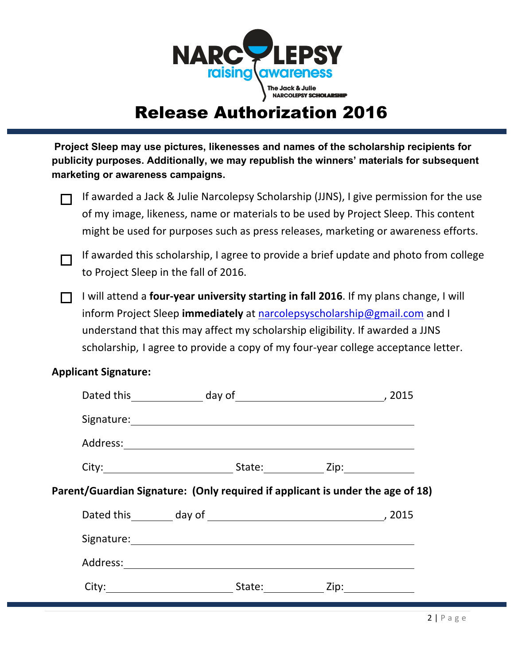

## **Release Authorization 2016**

Project Sleep may use pictures, likenesses and names of the scholarship recipients for publicity purposes. Additionally, we may republish the winners' materials for subsequent marketing or awareness campaigns.

If awarded a Jack & Julie Narcolepsy Scholarship (JJNS), I give permission for the use of my image, likeness, name or materials to be used by Project Sleep. This content might be used for purposes such as press releases, marketing or awareness efforts.

If awarded this scholarship, I agree to provide a brief update and photo from college to Project Sleep in the fall of 2016.

I will attend a four-year university starting in fall 2016. If my plans change, I will inform Project Sleep immediately at narcolepsyscholarship@gmail.com and I understand that this may affect my scholarship eligibility. If awarded a JJNS scholarship, I agree to provide a copy of my four-year college acceptance letter.

### **Applicant Signature:**

|                                                                                |  |  | Signature: <u>contract and the set of the set of the set of the set of the set of the set of the set of the set of the set of the set of the set of the set of the set of the set of the set of the set of the set of the set of</u> |  |
|--------------------------------------------------------------------------------|--|--|--------------------------------------------------------------------------------------------------------------------------------------------------------------------------------------------------------------------------------------|--|
|                                                                                |  |  |                                                                                                                                                                                                                                      |  |
|                                                                                |  |  | City: City: City: City: City: City: City: City: City: City: City: City: City: City: City: City: City: City: City: City: City: City: City: City: City: City: City: City: City: City: City: City: City: City: City: City: City:        |  |
| Parent/Guardian Signature: (Only required if applicant is under the age of 18) |  |  |                                                                                                                                                                                                                                      |  |
|                                                                                |  |  |                                                                                                                                                                                                                                      |  |
|                                                                                |  |  | Signature: Management of the Community of the Community of the Community of the Community of the Community of the Community of the Community of the Community of the Community of the Community of the Community of the Commun       |  |
|                                                                                |  |  |                                                                                                                                                                                                                                      |  |
|                                                                                |  |  |                                                                                                                                                                                                                                      |  |